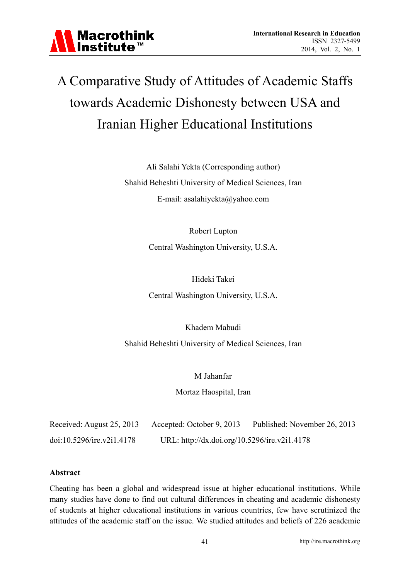

# A Comparative Study of Attitudes of Academic Staffs towards Academic Dishonesty between USA and Iranian Higher Educational Institutions

Ali Salahi Yekta (Corresponding author) Shahid Beheshti University of Medical Sciences, Iran E-mail: asalahiyekta@yahoo.com

> Robert Lupton Central Washington University, U.S.A.

> Hideki Takei Central Washington University, U.S.A.

Khadem Mabudi Shahid Beheshti University of Medical Sciences, Iran

# M Jahanfar

Mortaz Haospital, Iran

| Received: August 25, 2013 | A |
|---------------------------|---|
| doi:10.5296/ire.v2i1.4178 |   |

Recepted: October 9, 2013 Published: November 26, 2013 doi:10.5296/ire.v2i1.4178 URL: http://dx.doi.org/10.5296/ire.v2i1.4178

#### **Abstract**

Cheating has been a global and widespread issue at higher educational institutions. While many studies have done to find out cultural differences in cheating and academic dishonesty of students at higher educational institutions in various countries, few have scrutinized the attitudes of the academic staff on the issue. We studied attitudes and beliefs of 226 academic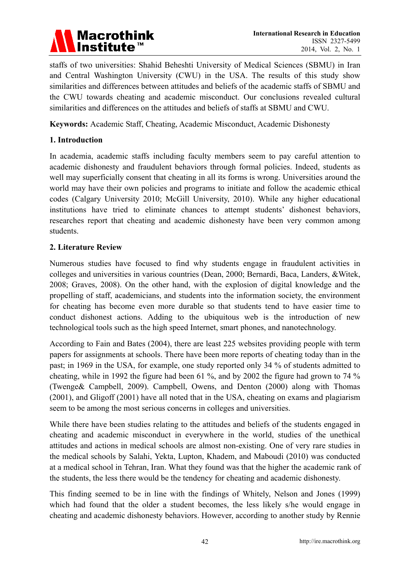# **Macrothink** Institute™

staffs of two universities: Shahid Beheshti University of Medical Sciences (SBMU) in Iran and Central Washington University (CWU) in the USA. The results of this study show similarities and differences between attitudes and beliefs of the academic staffs of SBMU and the CWU towards cheating and academic misconduct. Our conclusions revealed cultural similarities and differences on the attitudes and beliefs of staffs at SBMU and CWU.

**Keywords:** Academic Staff, Cheating, Academic Misconduct, Academic Dishonesty

# **1. Introduction**

In academia, academic staffs including faculty members seem to pay careful attention to academic dishonesty and fraudulent behaviors through formal policies. Indeed, students as well may superficially consent that cheating in all its forms is wrong. Universities around the world may have their own policies and programs to initiate and follow the academic ethical codes (Calgary University 2010; McGill University, 2010). While any higher educational institutions have tried to eliminate chances to attempt students' dishonest behaviors, researches report that cheating and academic dishonesty have been very common among students.

## **2. Literature Review**

Numerous studies have focused to find why students engage in fraudulent activities in colleges and universities in various countries (Dean, 2000; Bernardi, Baca, Landers, &Witek, 2008; Graves, 2008). On the other hand, with the explosion of digital knowledge and the propelling of staff, academicians, and students into the information society, the environment for cheating has become even more durable so that students tend to have easier time to conduct dishonest actions. Adding to the ubiquitous web is the introduction of new technological tools such as the high speed Internet, smart phones, and nanotechnology.

According to Fain and Bates (2004), there are least 225 websites providing people with term papers for assignments at schools. There have been more reports of cheating today than in the past; in 1969 in the USA, for example, one study reported only 34 % of students admitted to cheating, while in 1992 the figure had been 61 %, and by 2002 the figure had grown to 74 % (Twenge& Campbell, 2009). Campbell, Owens, and Denton (2000) along with Thomas (2001), and Gligoff (2001) have all noted that in the USA, cheating on exams and plagiarism seem to be among the most serious concerns in colleges and universities.

While there have been studies relating to the attitudes and beliefs of the students engaged in cheating and academic misconduct in everywhere in the world, studies of the unethical attitudes and actions in medical schools are almost non-existing. One of very rare studies in the medical schools by Salahi, Yekta, Lupton, Khadem, and Maboudi (2010) was conducted at a medical school in Tehran, Iran. What they found was that the higher the academic rank of the students, the less there would be the tendency for cheating and academic dishonesty.

This finding seemed to be in line with the findings of Whitely, Nelson and Jones (1999) which had found that the older a student becomes, the less likely s/he would engage in cheating and academic dishonesty behaviors. However, according to another study by Rennie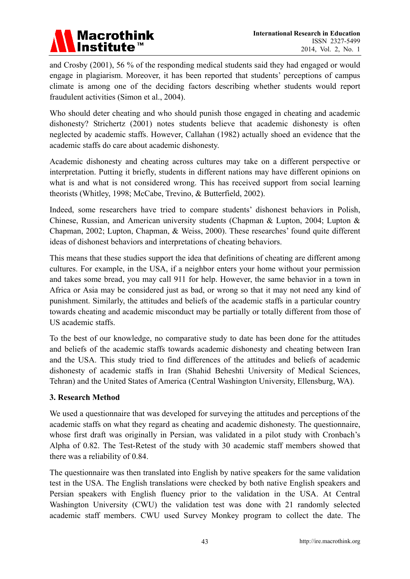

and Crosby (2001), 56 % of the responding medical students said they had engaged or would engage in plagiarism. Moreover, it has been reported that students' perceptions of campus climate is among one of the deciding factors describing whether students would report fraudulent activities (Simon et al., 2004).

Who should deter cheating and who should punish those engaged in cheating and academic dishonesty? Strichertz (2001) notes students believe that academic dishonesty is often neglected by academic staffs. However, Callahan (1982) actually shoed an evidence that the academic staffs do care about academic dishonesty.

Academic dishonesty and cheating across cultures may take on a different perspective or interpretation. Putting it briefly, students in different nations may have different opinions on what is and what is not considered wrong. This has received support from social learning theorists (Whitley, 1998; McCabe, Trevino, & Butterfield, 2002).

Indeed, some researchers have tried to compare students' dishonest behaviors in Polish, Chinese, Russian, and American university students (Chapman & Lupton, 2004; Lupton & Chapman, 2002; Lupton, Chapman, & Weiss, 2000). These researches' found quite different ideas of dishonest behaviors and interpretations of cheating behaviors.

This means that these studies support the idea that definitions of cheating are different among cultures. For example, in the USA, if a neighbor enters your home without your permission and takes some bread, you may call 911 for help. However, the same behavior in a town in Africa or Asia may be considered just as bad, or wrong so that it may not need any kind of punishment. Similarly, the attitudes and beliefs of the academic staffs in a particular country towards cheating and academic misconduct may be partially or totally different from those of US academic staffs.

To the best of our knowledge, no comparative study to date has been done for the attitudes and beliefs of the academic staffs towards academic dishonesty and cheating between Iran and the USA. This study tried to find differences of the attitudes and beliefs of academic dishonesty of academic staffs in Iran (Shahid Beheshti University of Medical Sciences, Tehran) and the United States of America (Central Washington University, Ellensburg, WA).

#### **3. Research Method**

We used a questionnaire that was developed for surveying the attitudes and perceptions of the academic staffs on what they regard as cheating and academic dishonesty. The questionnaire, whose first draft was originally in Persian, was validated in a pilot study with Cronbach's Alpha of 0.82. The Test-Retest of the study with 30 academic staff members showed that there was a reliability of 0.84.

The questionnaire was then translated into English by native speakers for the same validation test in the USA. The English translations were checked by both native English speakers and Persian speakers with English fluency prior to the validation in the USA. At Central Washington University (CWU) the validation test was done with 21 randomly selected academic staff members. CWU used Survey Monkey program to collect the date. The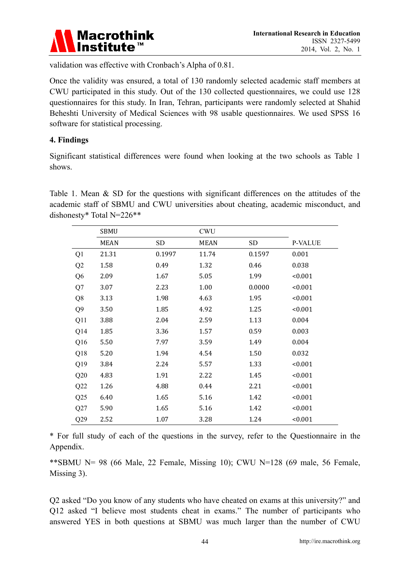

validation was effective with Cronbach's Alpha of 0.81.

Once the validity was ensured, a total of 130 randomly selected academic staff members at CWU participated in this study. Out of the 130 collected questionnaires, we could use 128 questionnaires for this study. In Iran, Tehran, participants were randomly selected at Shahid Beheshti University of Medical Sciences with 98 usable questionnaires. We used SPSS 16 software for statistical processing.

#### **4. Findings**

Significant statistical differences were found when looking at the two schools as Table 1 shows.

Table 1. Mean & SD for the questions with significant differences on the attitudes of the academic staff of SBMU and CWU universities about cheating, academic misconduct, and dishonesty\* Total N=226\*\*

|                | SBMU        |        | <b>CWU</b> |        |                |
|----------------|-------------|--------|------------|--------|----------------|
|                | <b>MEAN</b> | SD     | MEAN       | SD     | <b>P-VALUE</b> |
| Q1             | 21.31       | 0.1997 | 11.74      | 0.1597 | 0.001          |
| Q <sub>2</sub> | 1.58        | 0.49   | 1.32       | 0.46   | 0.038          |
| Q <sub>6</sub> | 2.09        | 1.67   | 5.05       | 1.99   | < 0.001        |
| Q7             | 3.07        | 2.23   | 1.00       | 0.0000 | < 0.001        |
| Q8             | 3.13        | 1.98   | 4.63       | 1.95   | < 0.001        |
| Q <sub>9</sub> | 3.50        | 1.85   | 4.92       | 1.25   | < 0.001        |
| Q11            | 3.88        | 2.04   | 2.59       | 1.13   | 0.004          |
| Q14            | 1.85        | 3.36   | 1.57       | 0.59   | 0.003          |
| Q16            | 5.50        | 7.97   | 3.59       | 1.49   | 0.004          |
| Q18            | 5.20        | 1.94   | 4.54       | 1.50   | 0.032          |
| Q19            | 3.84        | 2.24   | 5.57       | 1.33   | < 0.001        |
| Q20            | 4.83        | 1.91   | 2.22       | 1.45   | < 0.001        |
| Q22            | 1.26        | 4.88   | 0.44       | 2.21   | < 0.001        |
| Q25            | 6.40        | 1.65   | 5.16       | 1.42   | < 0.001        |
| Q27            | 5.90        | 1.65   | 5.16       | 1.42   | < 0.001        |
| Q29            | 2.52        | 1.07   | 3.28       | 1.24   | < 0.001        |

\* For full study of each of the questions in the survey, refer to the Questionnaire in the Appendix.

\*\*SBMU N= 98 (66 Male, 22 Female, Missing 10); CWU N=128 (69 male, 56 Female, Missing 3).

Q2 asked "Do you know of any students who have cheated on exams at this university?" and Q12 asked "I believe most students cheat in exams." The number of participants who answered YES in both questions at SBMU was much larger than the number of CWU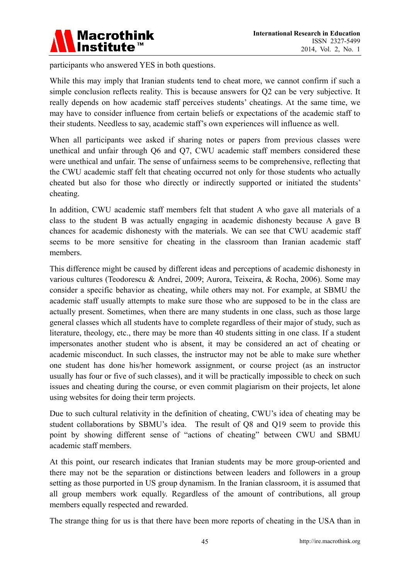

participants who answered YES in both questions.

While this may imply that Iranian students tend to cheat more, we cannot confirm if such a simple conclusion reflects reality. This is because answers for Q2 can be very subjective. It really depends on how academic staff perceives students' cheatings. At the same time, we may have to consider influence from certain beliefs or expectations of the academic staff to their students. Needless to say, academic staff's own experiences will influence as well.

When all participants wee asked if sharing notes or papers from previous classes were unethical and unfair through Q6 and Q7, CWU academic staff members considered these were unethical and unfair. The sense of unfairness seems to be comprehensive, reflecting that the CWU academic staff felt that cheating occurred not only for those students who actually cheated but also for those who directly or indirectly supported or initiated the students' cheating.

In addition, CWU academic staff members felt that student A who gave all materials of a class to the student B was actually engaging in academic dishonesty because A gave B chances for academic dishonesty with the materials. We can see that CWU academic staff seems to be more sensitive for cheating in the classroom than Iranian academic staff members.

This difference might be caused by different ideas and perceptions of academic dishonesty in various cultures (Teodorescu & Andrei, 2009; Aurora, Teixeira, & Rocha, 2006). Some may consider a specific behavior as cheating, while others may not. For example, at SBMU the academic staff usually attempts to make sure those who are supposed to be in the class are actually present. Sometimes, when there are many students in one class, such as those large general classes which all students have to complete regardless of their major of study, such as literature, theology, etc., there may be more than 40 students sitting in one class. If a student impersonates another student who is absent, it may be considered an act of cheating or academic misconduct. In such classes, the instructor may not be able to make sure whether one student has done his/her homework assignment, or course project (as an instructor usually has four or five of such classes), and it will be practically impossible to check on such issues and cheating during the course, or even commit plagiarism on their projects, let alone using websites for doing their term projects.

Due to such cultural relativity in the definition of cheating, CWU's idea of cheating may be student collaborations by SBMU's idea. The result of Q8 and Q19 seem to provide this point by showing different sense of "actions of cheating" between CWU and SBMU academic staff members.

At this point, our research indicates that Iranian students may be more group-oriented and there may not be the separation or distinctions between leaders and followers in a group setting as those purported in US group dynamism. In the Iranian classroom, it is assumed that all group members work equally. Regardless of the amount of contributions, all group members equally respected and rewarded.

The strange thing for us is that there have been more reports of cheating in the USA than in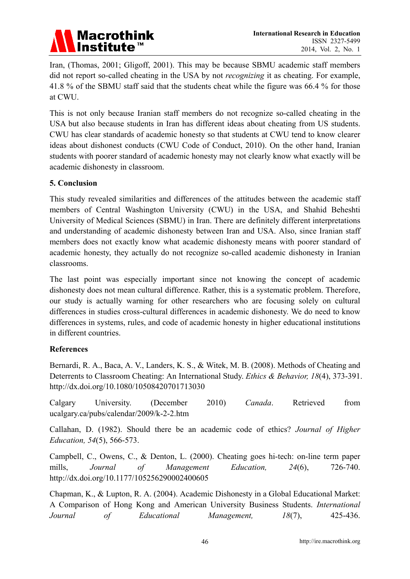

Iran, (Thomas, 2001; Gligoff, 2001). This may be because SBMU academic staff members did not report so-called cheating in the USA by not *recognizing* it as cheating. For example, 41.8 % of the SBMU staff said that the students cheat while the figure was 66.4 % for those at CWU.

This is not only because Iranian staff members do not recognize so-called cheating in the USA but also because students in Iran has different ideas about cheating from US students. CWU has clear standards of academic honesty so that students at CWU tend to know clearer ideas about dishonest conducts (CWU Code of Conduct, 2010). On the other hand, Iranian students with poorer standard of academic honesty may not clearly know what exactly will be academic dishonesty in classroom.

#### **5. Conclusion**

This study revealed similarities and differences of the attitudes between the academic staff members of Central Washington University (CWU) in the USA, and Shahid Beheshti University of Medical Sciences (SBMU) in Iran. There are definitely different interpretations and understanding of academic dishonesty between Iran and USA. Also, since Iranian staff members does not exactly know what academic dishonesty means with poorer standard of academic honesty, they actually do not recognize so-called academic dishonesty in Iranian classrooms.

The last point was especially important since not knowing the concept of academic dishonesty does not mean cultural difference. Rather, this is a systematic problem. Therefore, our study is actually warning for other researchers who are focusing solely on cultural differences in studies cross-cultural differences in academic dishonesty. We do need to know differences in systems, rules, and code of academic honesty in higher educational institutions in different countries.

#### **References**

Bernardi, R. A., Baca, A. V., Landers, K. S., & Witek, M. B. (2008). Methods of Cheating and Deterrents to Classroom Cheating: An International Study. *Ethics & Behavior, 18*(4), 373-391. http://dx.doi.org/10.1080/10508420701713030

Calgary University. (December 2010) *Canada*. Retrieved from ucalgary.ca/pubs/calendar/2009/k-2-2.htm

Callahan, D. (1982). Should there be an academic code of ethics? *Journal of Higher Education, 54*(5), 566-573.

Campbell, C., Owens, C., & Denton, L. (2000). Cheating goes hi-tech: on-line term paper mills, *Journal of Management Education, 24*(6), 726-740. http://dx.doi.org/10.1177/105256290002400605

Chapman, K., & Lupton, R. A. (2004). Academic Dishonesty in a Global Educational Market: A Comparison of Hong Kong and American University Business Students. *International Journal of Educational Management, 18*(7), 425-436.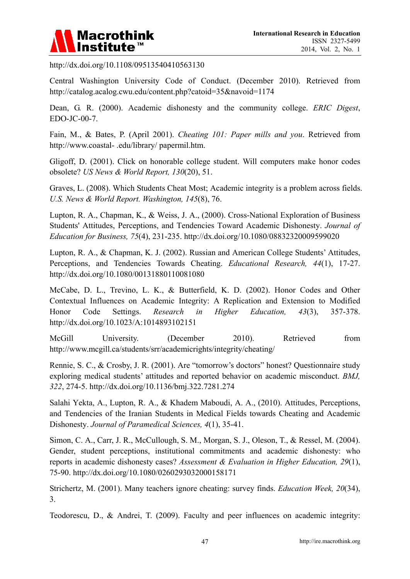

http://dx.doi.org/10.1108/09513540410563130

Central Washington University Code of Conduct. (December 2010). Retrieved from http://catalog.acalog.cwu.edu/content.php?catoid=35&navoid=1174

Dean, G. R. (2000). Academic dishonesty and the community college. *ERIC Digest*, EDO-JC-00-7.

Fain, M., & Bates, P. (April 2001). *Cheating 101: Paper mills and you*. Retrieved from http://www.coastal- .edu/library/ papermil.htm.

Gligoff, D. (2001). Click on honorable college student. Will computers make honor codes obsolete? *US News & World Report, 130*(20), 51.

Graves, L. (2008). Which Students Cheat Most; Academic integrity is a problem across fields. *U.S. News & World Report. Washington, 145*(8), 76.

Lupton, R. A., Chapman, K., & Weiss, J. A., (2000). Cross-National Exploration of Business Students' Attitudes, Perceptions, and Tendencies Toward Academic Dishonesty. *Journal of Education for Business, 75*(4), 231-235. http://dx.doi.org/10.1080/08832320009599020

Lupton, R. A., & Chapman, K. J. (2002). Russian and American College Students' Attitudes, Perceptions, and Tendencies Towards Cheating. *Educational Research, 44*(1), 17-27. http://dx.doi.org/10.1080/00131880110081080

McCabe, D. L., Trevino, L. K., & Butterfield, K. D. (2002). Honor Codes and Other Contextual Influences on Academic Integrity: A Replication and Extension to Modified Honor Code Settings. *Research in Higher Education, 43*(3), 357-378. http://dx.doi.org/10.1023/A:1014893102151

McGill University. (December 2010). Retrieved from http://www.mcgill.ca/students/srr/academicrights/integrity/cheating/

Rennie, S. C., & Crosby, J. R. (2001). Are "tomorrow's doctors" honest? Questionnaire study exploring medical students' attitudes and reported behavior on academic misconduct. *BMJ, 322*, 274-5. http://dx.doi.org/10.1136/bmj.322.7281.274

Salahi Yekta, A., Lupton, R. A., & Khadem Maboudi, A. A., (2010). Attitudes, Perceptions, and Tendencies of the Iranian Students in Medical Fields towards Cheating and Academic Dishonesty. *Journal of Paramedical Sciences, 4*(1), 35-41.

Simon, C. A., Carr, J. R., McCullough, S. M., Morgan, S. J., Oleson, T., & Ressel, M. (2004). Gender, student perceptions, institutional commitments and academic dishonesty: who reports in academic dishonesty cases? *Assessment & Evaluation in Higher Education, 29*(1), 75-90. http://dx.doi.org/10.1080/0260293032000158171

Strichertz, M. (2001). Many teachers ignore cheating: survey finds. *Education Week, 20*(34), 3.

Teodorescu, D., & Andrei, T. (2009). Faculty and peer influences on academic integrity: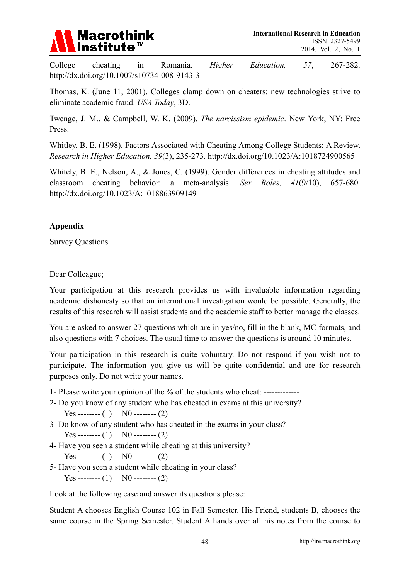

College cheating in Romania. *Higher Education, 57*, 267-282. http://dx.doi.org/10.1007/s10734-008-9143-3

Thomas, K. (June 11, 2001). Colleges clamp down on cheaters: new technologies strive to eliminate academic fraud. *USA Today*, 3D.

Twenge, J. M., & Campbell, W. K. (2009). *The narcissism epidemic*. New York, NY: Free Press.

Whitley, B. E. (1998). Factors Associated with Cheating Among College Students: A Review. *Research in Higher Education, 39*(3), 235-273. http://dx.doi.org/10.1023/A:1018724900565

Whitely, B. E., Nelson, A., & Jones, C. (1999). Gender differences in cheating attitudes and classroom cheating behavior: a meta-analysis. *Sex Roles, 41*(9/10), 657-680. http://dx.doi.org/10.1023/A:1018863909149

## **Appendix**

Survey Questions

Dear Colleague;

Your participation at this research provides us with invaluable information regarding academic dishonesty so that an international investigation would be possible. Generally, the results of this research will assist students and the academic staff to better manage the classes.

You are asked to answer 27 questions which are in yes/no, fill in the blank, MC formats, and also questions with 7 choices. The usual time to answer the questions is around 10 minutes.

Your participation in this research is quite voluntary. Do not respond if you wish not to participate. The information you give us will be quite confidential and are for research purposes only. Do not write your names.

- 1- Please write your opinion of the % of the students who cheat: -------------
- 2- Do you know of any student who has cheated in exams at this university?

 $Yes$  -------- (1)  $N0$  ------- (2)

- 3- Do know of any student who has cheated in the exams in your class?  $Yes$  -------- (1) N0 ------- (2)
- 4- Have you seen a student while cheating at this university?

 $Yes$  -------- (1) N0 -------- (2)

5- Have you seen a student while cheating in your class?

 $Yes$  -------- (1) N0 ------- (2)

Look at the following case and answer its questions please:

Student A chooses English Course 102 in Fall Semester. His Friend, students B, chooses the same course in the Spring Semester. Student A hands over all his notes from the course to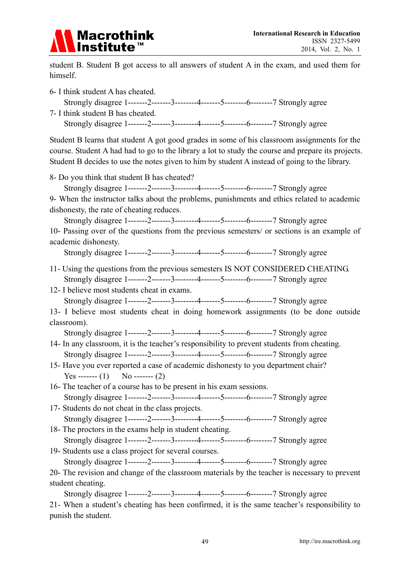

student B. Student B got access to all answers of student A in the exam, and used them for himself.

6- I think student A has cheated.

Strongly disagree 1-------2-------3--------4-------5--------6--------7 Strongly agree

7- I think student B has cheated. Strongly disagree 1-------2-------3--------4-------5--------6--------7 Strongly agree

Student B learns that student A got good grades in some of his classroom assignments for the course. Student A had had to go to the library a lot to study the course and prepare its projects. Student B decides to use the notes given to him by student A instead of going to the library.

8- Do you think that student B has cheated?

Strongly disagree 1-------2-------3--------4-------5--------6--------7 Strongly agree

9- When the instructor talks about the problems, punishments and ethics related to academic dishonesty, the rate of cheating reduces.

Strongly disagree 1-------2-------3--------4-------5--------6--------7 Strongly agree

10- Passing over of the questions from the previous semesters/ or sections is an example of academic dishonesty.

Strongly disagree 1-------2-------3--------4-------5--------6--------7 Strongly agree

11- Using the questions from the previous semesters IS NOT CONSIDERED CHEATING. Strongly disagree 1-------2-------3--------4-------5--------6--------7 Strongly agree

12- I believe most students cheat in exams.

Strongly disagree 1-------2-------3--------4-------5--------6--------7 Strongly agree

13- I believe most students cheat in doing homework assignments (to be done outside classroom).

Strongly disagree 1-------2-------3--------4-------5--------6--------7 Strongly agree

14- In any classroom, it is the teacher's responsibility to prevent students from cheating. Strongly disagree 1-------2-------3--------4-------5--------6--------7 Strongly agree

15- Have you ever reported a case of academic dishonesty to you department chair?  $Yes$  ------- (1) No ------- (2)

16- The teacher of a course has to be present in his exam sessions. Strongly disagree 1-------2-------3--------4-------5--------6--------7 Strongly agree

17- Students do not cheat in the class projects. Strongly disagree 1-------2-------3--------4-------5--------6--------7 Strongly agree 18- The proctors in the exams help in student cheating.

Strongly disagree 1-------2-------3--------4-------5--------6--------7 Strongly agree

19- Students use a class project for several courses. Strongly disagree 1-------2-------3--------4-------5--------6--------7 Strongly agree

20- The revision and change of the classroom materials by the teacher is necessary to prevent student cheating.

Strongly disagree 1-------2-------3--------4-------5--------6--------7 Strongly agree 21- When a student's cheating has been confirmed, it is the same teacher's responsibility to punish the student.